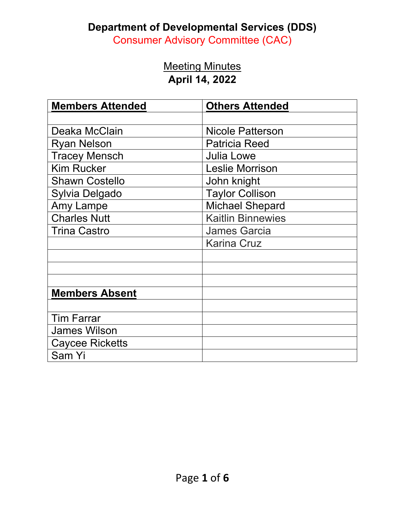#### **Department of Developmental Services (DDS)**

Consumer Advisory Committee (CAC)

#### Meeting Minutes **April 14, 2022**

| <b>Members Attended</b> | <b>Others Attended</b>   |
|-------------------------|--------------------------|
|                         |                          |
| Deaka McClain           | <b>Nicole Patterson</b>  |
| <b>Ryan Nelson</b>      | <b>Patricia Reed</b>     |
| <b>Tracey Mensch</b>    | <b>Julia Lowe</b>        |
| <b>Kim Rucker</b>       | <b>Leslie Morrison</b>   |
| <b>Shawn Costello</b>   | John knight              |
| Sylvia Delgado          | <b>Taylor Collison</b>   |
| Amy Lampe               | <b>Michael Shepard</b>   |
| <b>Charles Nutt</b>     | <b>Kaitlin Binnewies</b> |
| <b>Trina Castro</b>     | <b>James Garcia</b>      |
|                         | <b>Karina Cruz</b>       |
|                         |                          |
|                         |                          |
|                         |                          |
| <b>Members Absent</b>   |                          |
|                         |                          |
| <b>Tim Farrar</b>       |                          |
| <b>James Wilson</b>     |                          |
| <b>Caycee Ricketts</b>  |                          |
| Sam Yi                  |                          |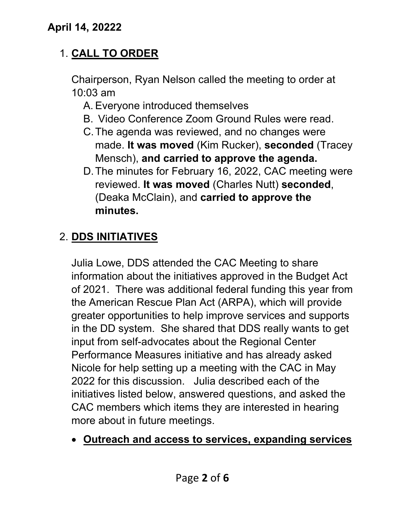### 1. **CALL TO ORDER**

Chairperson, Ryan Nelson called the meeting to order at 10:03 am

- A. Everyone introduced themselves
- B. Video Conference Zoom Ground Rules were read.
- C.The agenda was reviewed, and no changes were made. **It was moved** (Kim Rucker), **seconded** (Tracey Mensch), **and carried to approve the agenda.**
- D.The minutes for February 16, 2022, CAC meeting were reviewed. **It was moved** (Charles Nutt) **seconded**, (Deaka McClain), and **carried to approve the minutes.**

# 2. **DDS INITIATIVES**

Julia Lowe, DDS attended the CAC Meeting to share information about the initiatives approved in the Budget Act of 2021. There was additional federal funding this year from the American Rescue Plan Act (ARPA), which will provide greater opportunities to help improve services and supports in the DD system. She shared that DDS really wants to get input from self-advocates about the Regional Center Performance Measures initiative and has already asked Nicole for help setting up a meeting with the CAC in May 2022 for this discussion. Julia described each of the initiatives listed below, answered questions, and asked the CAC members which items they are interested in hearing more about in future meetings.

• **Outreach and access to services, expanding services**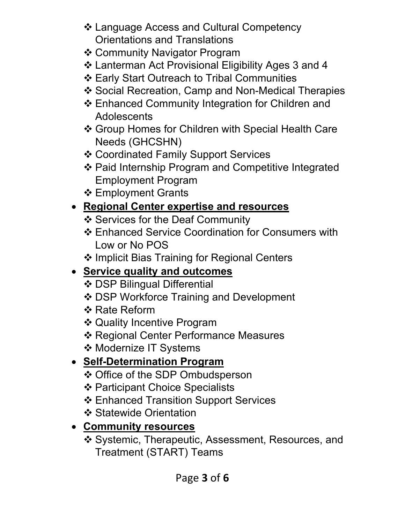- Language Access and Cultural Competency Orientations and Translations
- Community Navigator Program
- Lanterman Act Provisional Eligibility Ages 3 and 4
- Early Start Outreach to Tribal Communities
- ❖ Social Recreation, Camp and Non-Medical Therapies
- Enhanced Community Integration for Children and **Adolescents**
- Group Homes for Children with Special Health Care Needs (GHCSHN)
- Coordinated Family Support Services
- Paid Internship Program and Competitive Integrated Employment Program
- ❖ Employment Grants

### • **Regional Center expertise and resources**

- ❖ Services for the Deaf Community
- Enhanced Service Coordination for Consumers with Low or No POS
- ❖ Implicit Bias Training for Regional Centers

# • **Service quality and outcomes**

- DSP Bilingual Differential
- DSP Workforce Training and Development
- ❖ Rate Reform
- Quality Incentive Program
- **❖ Regional Center Performance Measures**
- ❖ Modernize IT Systems

# • **Self-Determination Program**

- Office of the SDP Ombudsperson
- ❖ Participant Choice Specialists
- Enhanced Transition Support Services
- ❖ Statewide Orientation

### • **Community resources**

 Systemic, Therapeutic, Assessment, Resources, and Treatment (START) Teams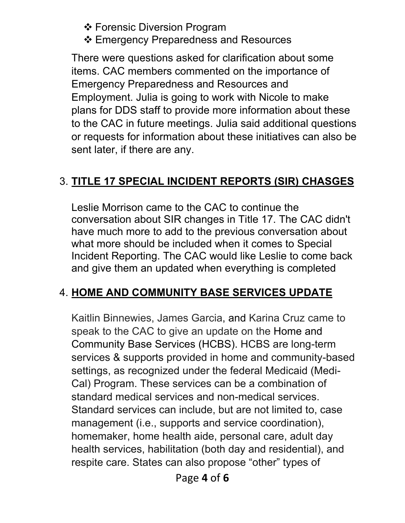❖ Forensic Diversion Program

Emergency Preparedness and Resources

There were questions asked for clarification about some items. CAC members commented on the importance of Emergency Preparedness and Resources and Employment. Julia is going to work with Nicole to make plans for DDS staff to provide more information about these to the CAC in future meetings. Julia said additional questions or requests for information about these initiatives can also be sent later, if there are any.

#### 3. **TITLE 17 SPECIAL INCIDENT REPORTS (SIR) CHASGES**

Leslie Morrison came to the CAC to continue the conversation about SIR changes in Title 17. The CAC didn't have much more to add to the previous conversation about what more should be included when it comes to Special Incident Reporting. The CAC would like Leslie to come back and give them an updated when everything is completed

### 4. **HOME AND COMMUNITY BASE SERVICES UPDATE**

Kaitlin Binnewies, James Garcia, and Karina Cruz came to speak to the CAC to give an update on the Home and Community Base Services (HCBS). HCBS are long-term services & supports provided in home and community-based settings, as recognized under the federal Medicaid (Medi-Cal) Program. These services can be a combination of standard medical services and non-medical services. Standard services can include, but are not limited to, case management (i.e., supports and service coordination), homemaker, home health aide, personal care, adult day health services, habilitation (both day and residential), and respite care. States can also propose "other" types of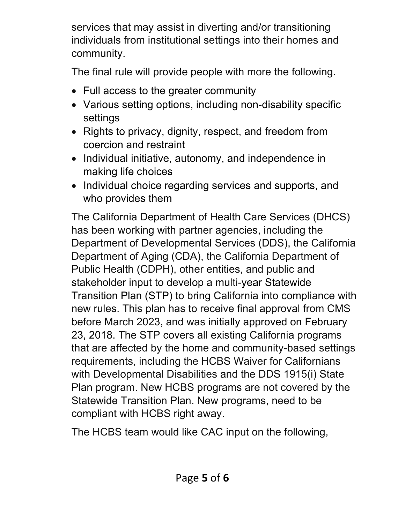services that may assist in diverting and/or transitioning individuals from institutional settings into their homes and community.

The final rule will provide people with more the following.

- Full access to the greater community
- Various setting options, including non-disability specific settings
- Rights to privacy, dignity, respect, and freedom from coercion and restraint
- Individual initiative, autonomy, and independence in making life choices
- Individual choice regarding services and supports, and who provides them

The California Department of Health Care Services (DHCS) has been working with partner agencies, including the Department of Developmental Services (DDS), the California Department of Aging (CDA), the California Department of Public Health (CDPH), other entities, and public and stakeholder input to develop a multi-year [Statewide](https://www.dhcs.ca.gov/services/ltc/Pages/HCBSStatewideTransitionPlan.aspx)  [Transition Plan \(STP\)](https://www.dhcs.ca.gov/services/ltc/Pages/HCBSStatewideTransitionPlan.aspx) to bring California into compliance with new rules. This plan has to receive final approval from CMS before March 2023, and was [initially approved](https://www.dhcs.ca.gov/services/ltc/Documents/STPInitialApproval.pdf) on February 23, 2018. The STP covers all existing California programs that are affected by the home and community-based settings requirements, including the HCBS Waiver for Californians with Developmental Disabilities and the DDS 1915(i) State Plan program. New HCBS programs are not covered by the Statewide Transition Plan. New programs, need to be compliant with HCBS right away.

The HCBS team would like CAC input on the following,